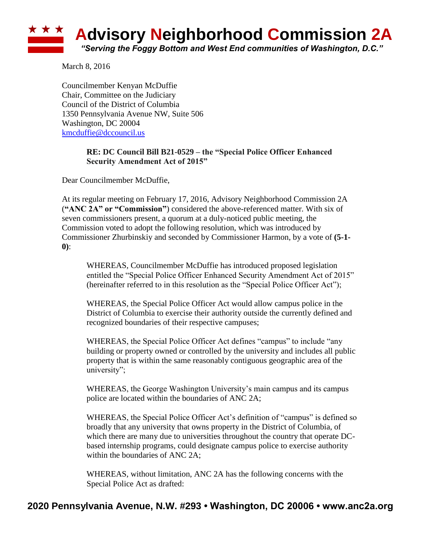

March 8, 2016

Councilmember Kenyan McDuffie Chair, Committee on the Judiciary Council of the District of Columbia 1350 Pennsylvania Avenue NW, Suite 506 Washington, DC 20004 [kmcduffie@dccouncil.us](mailto:kmcduffie@dccouncil.us)

## **RE: DC Council Bill B21-0529 – the "Special Police Officer Enhanced Security Amendment Act of 2015"**

Dear Councilmember McDuffie,

At its regular meeting on February 17, 2016, Advisory Neighborhood Commission 2A (**"ANC 2A" or "Commission"**) considered the above-referenced matter. With six of seven commissioners present, a quorum at a duly-noticed public meeting, the Commission voted to adopt the following resolution, which was introduced by Commissioner Zhurbinskiy and seconded by Commissioner Harmon, by a vote of **(5-1- 0)**:

WHEREAS, Councilmember McDuffie has introduced proposed legislation entitled the "Special Police Officer Enhanced Security Amendment Act of 2015" (hereinafter referred to in this resolution as the "Special Police Officer Act");

WHEREAS, the Special Police Officer Act would allow campus police in the District of Columbia to exercise their authority outside the currently defined and recognized boundaries of their respective campuses;

WHEREAS, the Special Police Officer Act defines "campus" to include "any building or property owned or controlled by the university and includes all public property that is within the same reasonably contiguous geographic area of the university";

WHEREAS, the George Washington University's main campus and its campus police are located within the boundaries of ANC 2A;

WHEREAS, the Special Police Officer Act's definition of "campus" is defined so broadly that any university that owns property in the District of Columbia, of which there are many due to universities throughout the country that operate DCbased internship programs, could designate campus police to exercise authority within the boundaries of ANC 2A;

WHEREAS, without limitation, ANC 2A has the following concerns with the Special Police Act as drafted: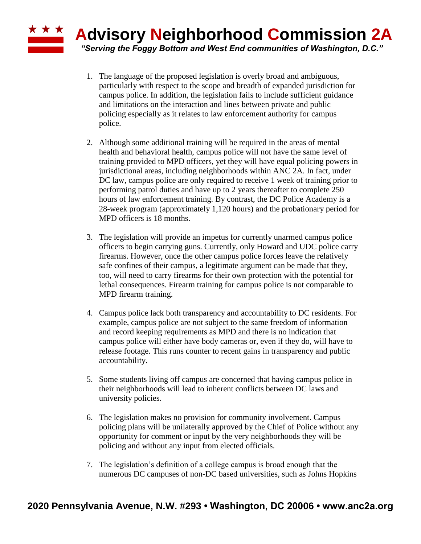## **Advisory Neighborhood Commission 2A** *"Serving the Foggy Bottom and West End communities of Washington, D.C."*

- 1. The language of the proposed legislation is overly broad and ambiguous, particularly with respect to the scope and breadth of expanded jurisdiction for campus police. In addition, the legislation fails to include sufficient guidance and limitations on the interaction and lines between private and public policing especially as it relates to law enforcement authority for campus police.
- 2. Although some additional training will be required in the areas of mental health and behavioral health, campus police will not have the same level of training provided to MPD officers, yet they will have equal policing powers in jurisdictional areas, including neighborhoods within ANC 2A. In fact, under DC law, campus police are only required to receive 1 week of training prior to performing patrol duties and have up to 2 years thereafter to complete 250 hours of law enforcement training. By contrast, the DC Police Academy is a 28-week program (approximately 1,120 hours) and the probationary period for MPD officers is 18 months.
- 3. The legislation will provide an impetus for currently unarmed campus police officers to begin carrying guns. Currently, only Howard and UDC police carry firearms. However, once the other campus police forces leave the relatively safe confines of their campus, a legitimate argument can be made that they, too, will need to carry firearms for their own protection with the potential for lethal consequences. Firearm training for campus police is not comparable to MPD firearm training.
- 4. Campus police lack both transparency and accountability to DC residents. For example, campus police are not subject to the same freedom of information and record keeping requirements as MPD and there is no indication that campus police will either have body cameras or, even if they do, will have to release footage. This runs counter to recent gains in transparency and public accountability.
- 5. Some students living off campus are concerned that having campus police in their neighborhoods will lead to inherent conflicts between DC laws and university policies.
- 6. The legislation makes no provision for community involvement. Campus policing plans will be unilaterally approved by the Chief of Police without any opportunity for comment or input by the very neighborhoods they will be policing and without any input from elected officials.
- 7. The legislation's definition of a college campus is broad enough that the numerous DC campuses of non-DC based universities, such as Johns Hopkins